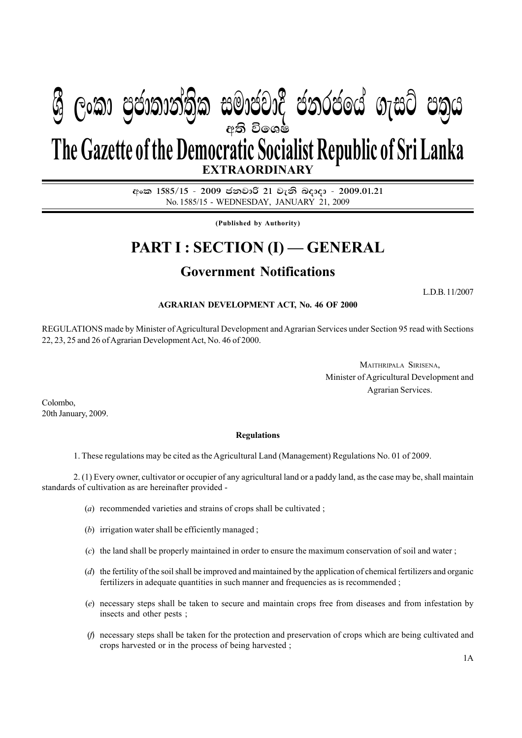# අති වි**ං**ශෂ් **EXTRAORDINARY**  $\mathcal{B}$  George Conductions in the conduction  $\mathcal{B}$  . Conductional management in  $\mathcal{B}$ **The Gazette of the Democratic Socialist Republic of Sri Lanka**

අංක 1585/15 - 2009 ජනවාරි 21 වැනි බදාදා - 2009.01.21 No. 1585/15 - WEDNESDAY, JANUARY 21, 2009

**(Published by Authority)**

## **PART I : SECTION (I) — GENERAL**

### **Government Notifications**

L.D.B. 11/2007

#### **AGRARIAN DEVELOPMENT ACT, No. 46 OF 2000**

REGULATIONS made by Minister of Agricultural Development and Agrarian Services under Section 95 read with Sections 22, 23, 25 and 26 of Agrarian Development Act, No. 46 of 2000.

> MAITHRIPALA SIRISENA, Minister of Agricultural Development and Agrarian Services.

Colombo, 20th January, 2009.

#### **Regulations**

1. These regulations may be cited as the Agricultural Land (Management) Regulations No. 01 of 2009.

2. (1) Every owner, cultivator or occupier of any agricultural land or a paddy land, as the case may be, shall maintain standards of cultivation as are hereinafter provided -

- (*a*) recommended varieties and strains of crops shall be cultivated ;
- (*b*) irrigation water shall be efficiently managed ;
- (*c*) the land shall be properly maintained in order to ensure the maximum conservation of soil and water ;
- (*d*) the fertility of the soil shall be improved and maintained by the application of chemical fertilizers and organic fertilizers in adequate quantities in such manner and frequencies as is recommended ;
- (*e*) necessary steps shall be taken to secure and maintain crops free from diseases and from infestation by insects and other pests ;
- (*f*) necessary steps shall be taken for the protection and preservation of crops which are being cultivated and crops harvested or in the process of being harvested ;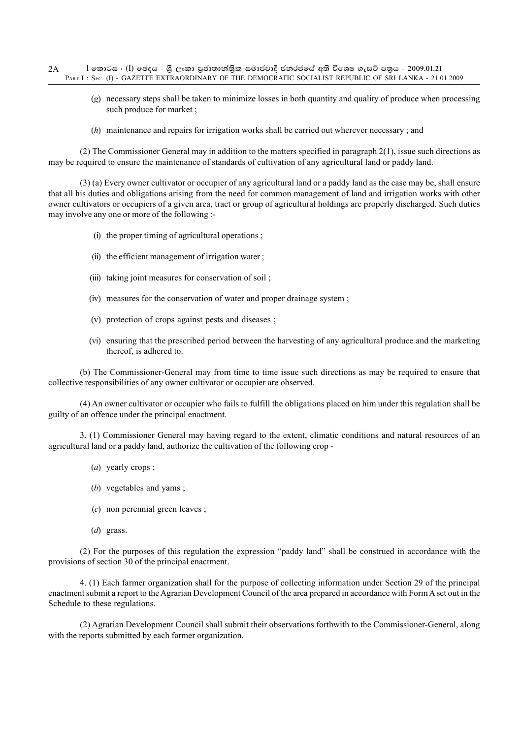- (*g*) necessary steps shall be taken to minimize losses in both quantity and quality of produce when processing such produce for market ;
- (*h*) maintenance and repairs for irrigation works shall be carried out wherever necessary ; and

(2) The Commissioner General may in addition to the matters specified in paragraph 2(1), issue such directions as may be required to ensure the maintenance of standards of cultivation of any agricultural land or paddy land.

(3) (a) Every owner cultivator or occupier of any agricultural land or a paddy land as the case may be, shall ensure that all his duties and obligations arising from the need for common management of land and irrigation works with other owner cultivators or occupiers of a given area, tract or group of agricultural holdings are properly discharged. Such duties may involve any one or more of the following :-

- (i) the proper timing of agricultural operations ;
- (ii) the efficient management of irrigation water ;
- (iii) taking joint measures for conservation of soil ;
- (iv) measures for the conservation of water and proper drainage system ;
- (v) protection of crops against pests and diseases ;
- (vi) ensuring that the prescribed period between the harvesting of any agricultural produce and the marketing thereof, is adhered to.

(b) The Commissioner-General may from time to time issue such directions as may be required to ensure that collective responsibilities of any owner cultivator or occupier are observed.

(4) An owner cultivator or occupier who fails to fulfill the obligations placed on him under this regulation shall be guilty of an offence under the principal enactment.

3. (1) Commissioner General may having regard to the extent, climatic conditions and natural resources of an agricultural land or a paddy land, authorize the cultivation of the following crop -

- (*a*) yearly crops ;
- (*b*) vegetables and yams ;
- (*c*) non perennial green leaves ;
- (*d*) grass.

(2) For the purposes of this regulation the expression "paddy land" shall be construed in accordance with the provisions of section 30 of the principal enactment.

4. (1) Each farmer organization shall for the purpose of collecting information under Section 29 of the principal enactment submit a report to the Agrarian Development Council of the area prepared in accordance with Form A set out in the Schedule to these regulations.

(2) Agrarian Development Council shall submit their observations forthwith to the Commissioner-General, along with the reports submitted by each farmer organization.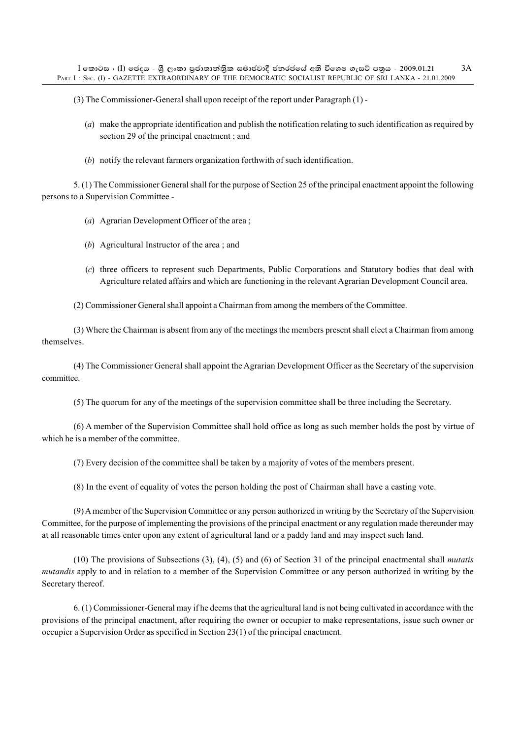(3) The Commissioner-General shall upon receipt of the report under Paragraph (1) -

- (*a*) make the appropriate identification and publish the notification relating to such identification as required by section 29 of the principal enactment ; and
- (*b*) notify the relevant farmers organization forthwith of such identification.

5. (1) The Commissioner General shall for the purpose of Section 25 of the principal enactment appoint the following persons to a Supervision Committee -

- (*a*) Agrarian Development Officer of the area ;
- (*b*) Agricultural Instructor of the area ; and
- (*c*) three officers to represent such Departments, Public Corporations and Statutory bodies that deal with Agriculture related affairs and which are functioning in the relevant Agrarian Development Council area.

(2) Commissioner General shall appoint a Chairman from among the members of the Committee.

(3) Where the Chairman is absent from any of the meetings the members present shall elect a Chairman from among themselves.

(4) The Commissioner General shall appoint the Agrarian Development Officer as the Secretary of the supervision committee.

(5) The quorum for any of the meetings of the supervision committee shall be three including the Secretary.

(6) A member of the Supervision Committee shall hold office as long as such member holds the post by virtue of which he is a member of the committee.

(7) Every decision of the committee shall be taken by a majority of votes of the members present.

(8) In the event of equality of votes the person holding the post of Chairman shall have a casting vote.

(9) A member of the Supervision Committee or any person authorized in writing by the Secretary of the Supervision Committee, for the purpose of implementing the provisions of the principal enactment or any regulation made thereunder may at all reasonable times enter upon any extent of agricultural land or a paddy land and may inspect such land.

(10) The provisions of Subsections (3), (4), (5) and (6) of Section 31 of the principal enactmental shall *mutatis mutandis* apply to and in relation to a member of the Supervision Committee or any person authorized in writing by the Secretary thereof.

6. (1) Commissioner-General may if he deems that the agricultural land is not being cultivated in accordance with the provisions of the principal enactment, after requiring the owner or occupier to make representations, issue such owner or occupier a Supervision Order as specified in Section 23(1) of the principal enactment.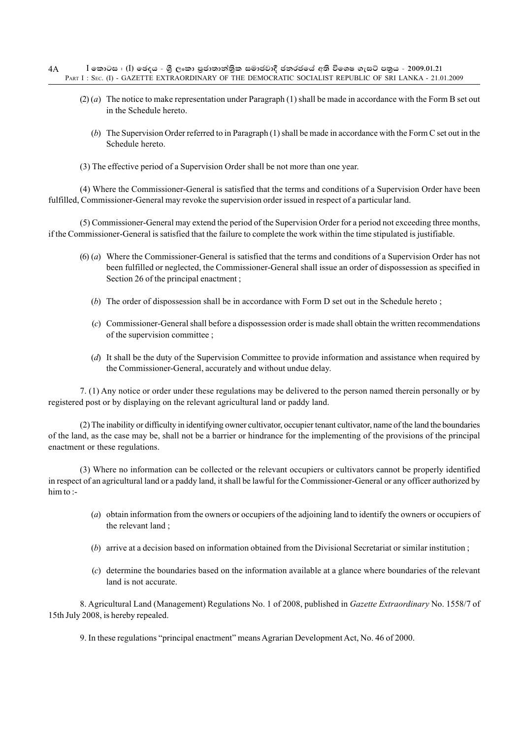- $I$  කොටස : (I) ඡෙදය ශීූ ලංකා පුජාතාන්තික සමාජවාදී ජනරජයේ අති විශෙෂ ගැසට් පතුය 2009.01.21 PART I : SEC. (I) - GAZETTE EXTRAORDINARY OF THE DEMOCRATIC SOCIALIST REPUBLIC OF SRI LANKA - 21.01.2009 4A
	- (2) (*a*) The notice to make representation under Paragraph (1) shall be made in accordance with the Form B set out in the Schedule hereto.
		- (*b*) The Supervision Order referred to in Paragraph (1) shall be made in accordance with the Form C set out in the Schedule hereto.
	- (3) The effective period of a Supervision Order shall be not more than one year.

(4) Where the Commissioner-General is satisfied that the terms and conditions of a Supervision Order have been fulfilled, Commissioner-General may revoke the supervision order issued in respect of a particular land.

(5) Commissioner-General may extend the period of the Supervision Order for a period not exceeding three months, if the Commissioner-General is satisfied that the failure to complete the work within the time stipulated is justifiable.

- (6) (*a*) Where the Commissioner-General is satisfied that the terms and conditions of a Supervision Order has not been fulfilled or neglected, the Commissioner-General shall issue an order of dispossession as specified in Section 26 of the principal enactment ;
	- (*b*) The order of dispossession shall be in accordance with Form D set out in the Schedule hereto ;
	- (*c*) Commissioner-General shall before a dispossession order is made shall obtain the written recommendations of the supervision committee ;
	- (*d*) It shall be the duty of the Supervision Committee to provide information and assistance when required by the Commissioner-General, accurately and without undue delay.

7. (1) Any notice or order under these regulations may be delivered to the person named therein personally or by registered post or by displaying on the relevant agricultural land or paddy land.

(2) The inability or difficulty in identifying owner cultivator, occupier tenant cultivator, name of the land the boundaries of the land, as the case may be, shall not be a barrier or hindrance for the implementing of the provisions of the principal enactment or these regulations.

(3) Where no information can be collected or the relevant occupiers or cultivators cannot be properly identified in respect of an agricultural land or a paddy land, it shall be lawful for the Commissioner-General or any officer authorized by him to :-

- (*a*) obtain information from the owners or occupiers of the adjoining land to identify the owners or occupiers of the relevant land ;
- (*b*) arrive at a decision based on information obtained from the Divisional Secretariat or similar institution ;
- (*c*) determine the boundaries based on the information available at a glance where boundaries of the relevant land is not accurate.

8. Agricultural Land (Management) Regulations No. 1 of 2008, published in *Gazette Extraordinary* No. 1558/7 of 15th July 2008, is hereby repealed.

9. In these regulations "principal enactment" means Agrarian Development Act, No. 46 of 2000.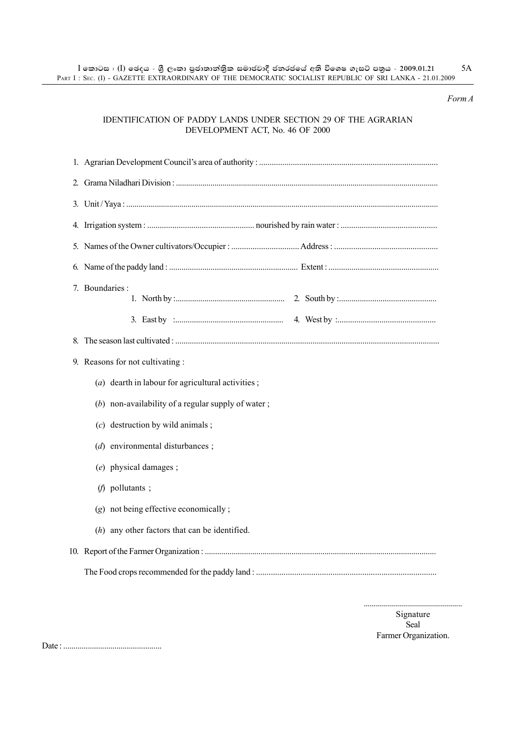#### *Form A*

#### IDENTIFICATION OF PADDY LANDS UNDER SECTION 29 OF THE AGRARIAN DEVELOPMENT ACT, No. 46 OF 2000

| 7. Boundaries :                                       |  |  |  |
|-------------------------------------------------------|--|--|--|
|                                                       |  |  |  |
|                                                       |  |  |  |
| 9. Reasons for not cultivating :                      |  |  |  |
| ( $a$ ) dearth in labour for agricultural activities; |  |  |  |
| (b) non-availability of a regular supply of water;    |  |  |  |
| $(c)$ destruction by wild animals;                    |  |  |  |
| $(d)$ environmental disturbances;                     |  |  |  |
| (e) physical damages;                                 |  |  |  |
| $(f)$ pollutants;                                     |  |  |  |
| (g) not being effective economically;                 |  |  |  |
| $(h)$ any other factors that can be identified.       |  |  |  |
|                                                       |  |  |  |
|                                                       |  |  |  |
|                                                       |  |  |  |

................................................. Signature

Seal Farmer Organization.

Date : ................................................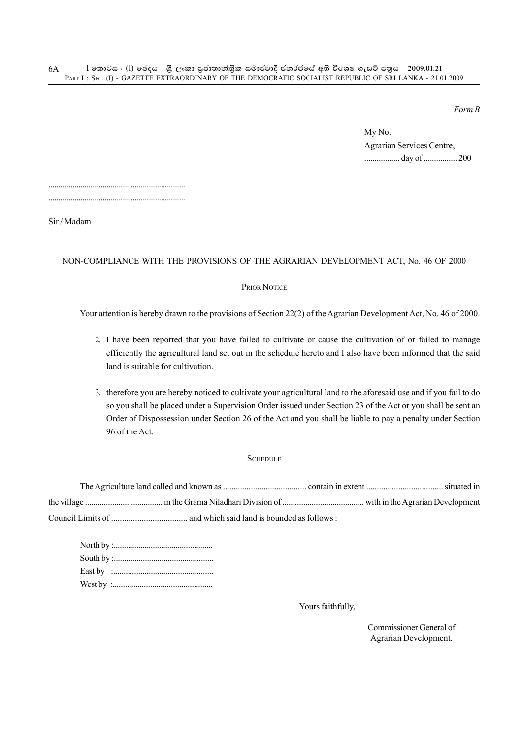*Form B*

My No. Agrarian Services Centre, ................. day of ................ 200

.................................................................... ....................................................................

Sir / Madam

#### NON-COMPLIANCE WITH THE PROVISIONS OF THE AGRARIAN DEVELOPMENT ACT, No. 46 OF 2000

#### PRIOR NOTICE

Your attention is hereby drawn to the provisions of Section 22(2) of the Agrarian Development Act, No. 46 of 2000.

- 2. I have been reported that you have failed to cultivate or cause the cultivation of or failed to manage efficiently the agricultural land set out in the schedule hereto and I also have been informed that the said land is suitable for cultivation.
- 3. therefore you are hereby noticed to cultivate your agricultural land to the aforesaid use and if you fail to do so you shall be placed under a Supervision Order issued under Section 23 of the Act or you shall be sent an Order of Dispossession under Section 26 of the Act and you shall be liable to pay a penalty under Section 96 of the Act.

#### **SCHEDULE**

Yours faithfully,

Commissioner General of Agrarian Development.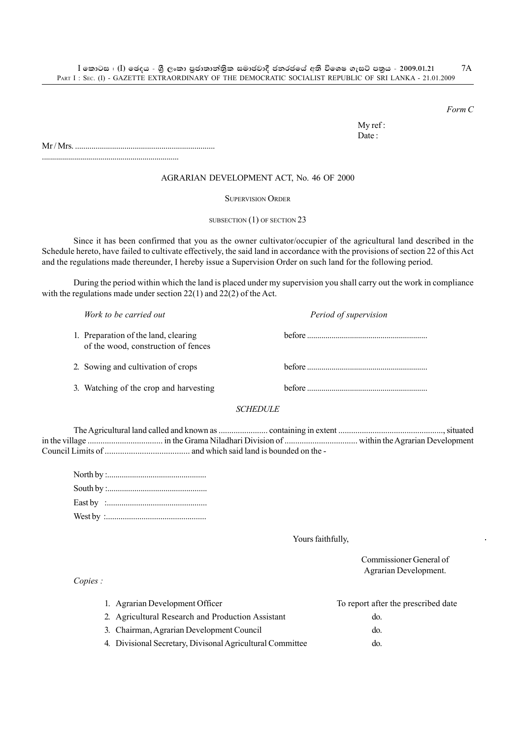*Form C*

My ref : Date:

Mr / Mrs. ....................................................................

....................................................................

#### AGRARIAN DEVELOPMENT ACT, No. 46 OF 2000

SUPERVISION ORDER

SUBSECTION (1) OF SECTION 23

Since it has been confirmed that you as the owner cultivator/occupier of the agricultural land described in the Schedule hereto, have failed to cultivate effectively, the said land in accordance with the provisions of section 22 of this Act and the regulations made thereunder, I hereby issue a Supervision Order on such land for the following period.

During the period within which the land is placed under my supervision you shall carry out the work in compliance with the regulations made under section 22(1) and 22(2) of the Act.

| Work to be carried out                                                      | Period of supervision |
|-----------------------------------------------------------------------------|-----------------------|
| 1. Preparation of the land, clearing<br>of the wood, construction of fences |                       |
| 2. Sowing and cultivation of crops                                          |                       |
| 3. Watching of the crop and harvesting                                      |                       |
| <i>SCHEDULE</i>                                                             |                       |
|                                                                             |                       |

The Agricultural land called and known as ....................... containing in extent ................................................., situated in the village ................................... in the Grama Niladhari Division of .................................. within the Agrarian Development Council Limits of ....................................... and which said land is bounded on the -

Yours faithfully,

Commissioner General of Agrarian Development. 1. Agrarian Development Officer To report after the prescribed date 2. Agricultural Research and Production Assistant do. 3. Chairman, Agrarian Development Council do.

4. Divisional Secretary, Divisonal Agricultural Committee do.

*Copies :*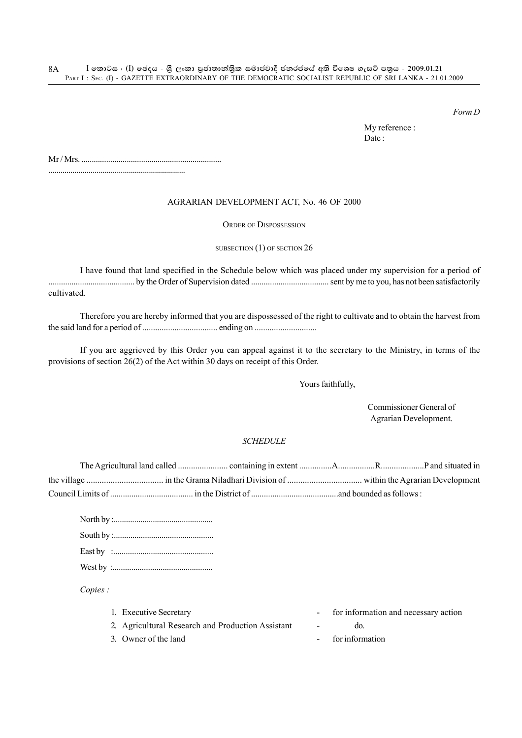*Form D*

My reference : Date:

Mr / Mrs. ....................................................................

#### AGRARIAN DEVELOPMENT ACT, No. 46 OF 2000

ORDER OF DISPOSSESSION

#### SUBSECTION (1) OF SECTION 26

I have found that land specified in the Schedule below which was placed under my supervision for a period of ......................................... by the Order of Supervision dated ..................................... sent by me to you, has not been satisfactorily cultivated.

Therefore you are hereby informed that you are dispossessed of the right to cultivate and to obtain the harvest from the said land for a period of ................................... ending on .............................

If you are aggrieved by this Order you can appeal against it to the secretary to the Ministry, in terms of the provisions of section 26(2) of the Act within 30 days on receipt of this Order.

Yours faithfully,

Commissioner General of Agrarian Development.

#### *SCHEDULE*

*Copies :*

| 1. Executive Secretary                            | for information and necessary action |
|---------------------------------------------------|--------------------------------------|
| 2. Agricultural Research and Production Assistant | do.                                  |
| 3. Owner of the land                              | for information                      |